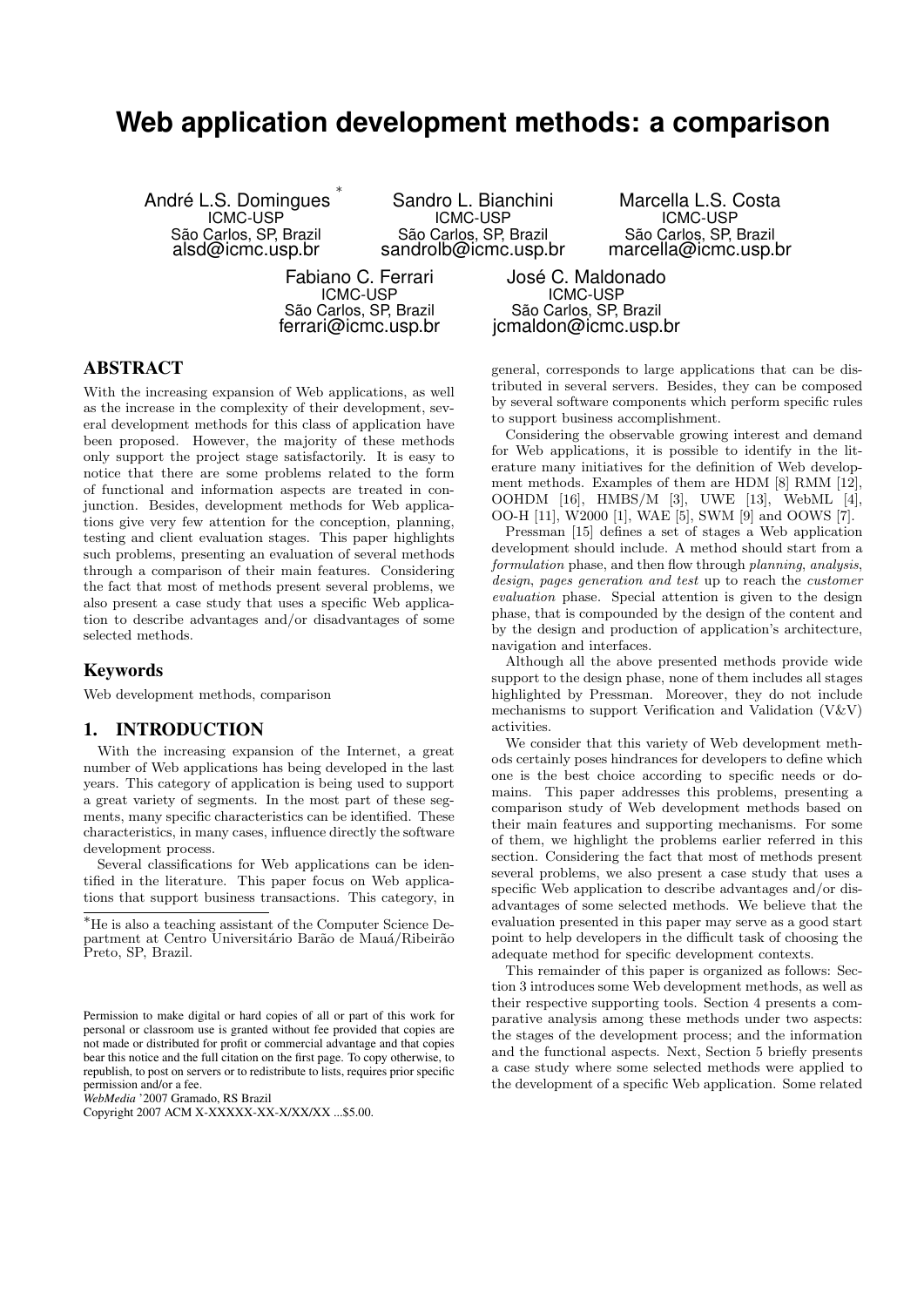# **Web application development methods: a comparison**

André L.S. Domingues ∗ ICMC-USP São Carlos, SP, Brazil alsd@icmc.usp.br

Sandro L. Bianchini ICMC-USP São Carlos, SP, Brazil sandrolb@icmc.usp.br

Marcella L.S. Costa ICMC-USP São Carlos, SP, Brazil marcella@icmc.usp.br

Fabiano C. Ferrari ICMC-USP São Carlos, SP, Brazil ferrari@icmc.usp.br

José C. Maldonado ICMC-USP São Carlos, SP, Brazil jcmaldon@icmc.usp.br

## ABSTRACT

With the increasing expansion of Web applications, as well as the increase in the complexity of their development, several development methods for this class of application have been proposed. However, the majority of these methods only support the project stage satisfactorily. It is easy to notice that there are some problems related to the form of functional and information aspects are treated in conjunction. Besides, development methods for Web applications give very few attention for the conception, planning, testing and client evaluation stages. This paper highlights such problems, presenting an evaluation of several methods through a comparison of their main features. Considering the fact that most of methods present several problems, we also present a case study that uses a specific Web application to describe advantages and/or disadvantages of some selected methods.

### Keywords

Web development methods, comparison

#### 1. INTRODUCTION

With the increasing expansion of the Internet, a great number of Web applications has being developed in the last years. This category of application is being used to support a great variety of segments. In the most part of these segments, many specific characteristics can be identified. These characteristics, in many cases, influence directly the software development process.

Several classifications for Web applications can be identified in the literature. This paper focus on Web applications that support business transactions. This category, in

*WebMedia* '2007 Gramado, RS Brazil

Copyright 2007 ACM X-XXXXX-XX-X/XX/XX ...\$5.00.

general, corresponds to large applications that can be distributed in several servers. Besides, they can be composed by several software components which perform specific rules to support business accomplishment.

Considering the observable growing interest and demand for Web applications, it is possible to identify in the literature many initiatives for the definition of Web development methods. Examples of them are HDM [8] RMM [12], OOHDM [16], HMBS/M [3], UWE [13], WebML [4], OO-H [11], W2000 [1], WAE [5], SWM [9] and OOWS [7].

Pressman [15] defines a set of stages a Web application development should include. A method should start from a formulation phase, and then flow through *planning*, *analysis*, design, pages generation and test up to reach the customer evaluation phase. Special attention is given to the design phase, that is compounded by the design of the content and by the design and production of application's architecture, navigation and interfaces.

Although all the above presented methods provide wide support to the design phase, none of them includes all stages highlighted by Pressman. Moreover, they do not include mechanisms to support Verification and Validation (V&V) activities.

We consider that this variety of Web development methods certainly poses hindrances for developers to define which one is the best choice according to specific needs or domains. This paper addresses this problems, presenting a comparison study of Web development methods based on their main features and supporting mechanisms. For some of them, we highlight the problems earlier referred in this section. Considering the fact that most of methods present several problems, we also present a case study that uses a specific Web application to describe advantages and/or disadvantages of some selected methods. We believe that the evaluation presented in this paper may serve as a good start point to help developers in the difficult task of choosing the adequate method for specific development contexts.

This remainder of this paper is organized as follows: Section 3 introduces some Web development methods, as well as their respective supporting tools. Section 4 presents a comparative analysis among these methods under two aspects: the stages of the development process; and the information and the functional aspects. Next, Section 5 briefly presents a case study where some selected methods were applied to the development of a specific Web application. Some related

<sup>∗</sup>He is also a teaching assistant of the Computer Science Department at Centro Universitário Barão de Mauá/Ribeirão Preto, SP, Brazil.

Permission to make digital or hard copies of all or part of this work for personal or classroom use is granted without fee provided that copies are not made or distributed for profit or commercial advantage and that copies bear this notice and the full citation on the first page. To copy otherwise, to republish, to post on servers or to redistribute to lists, requires prior specific permission and/or a fee.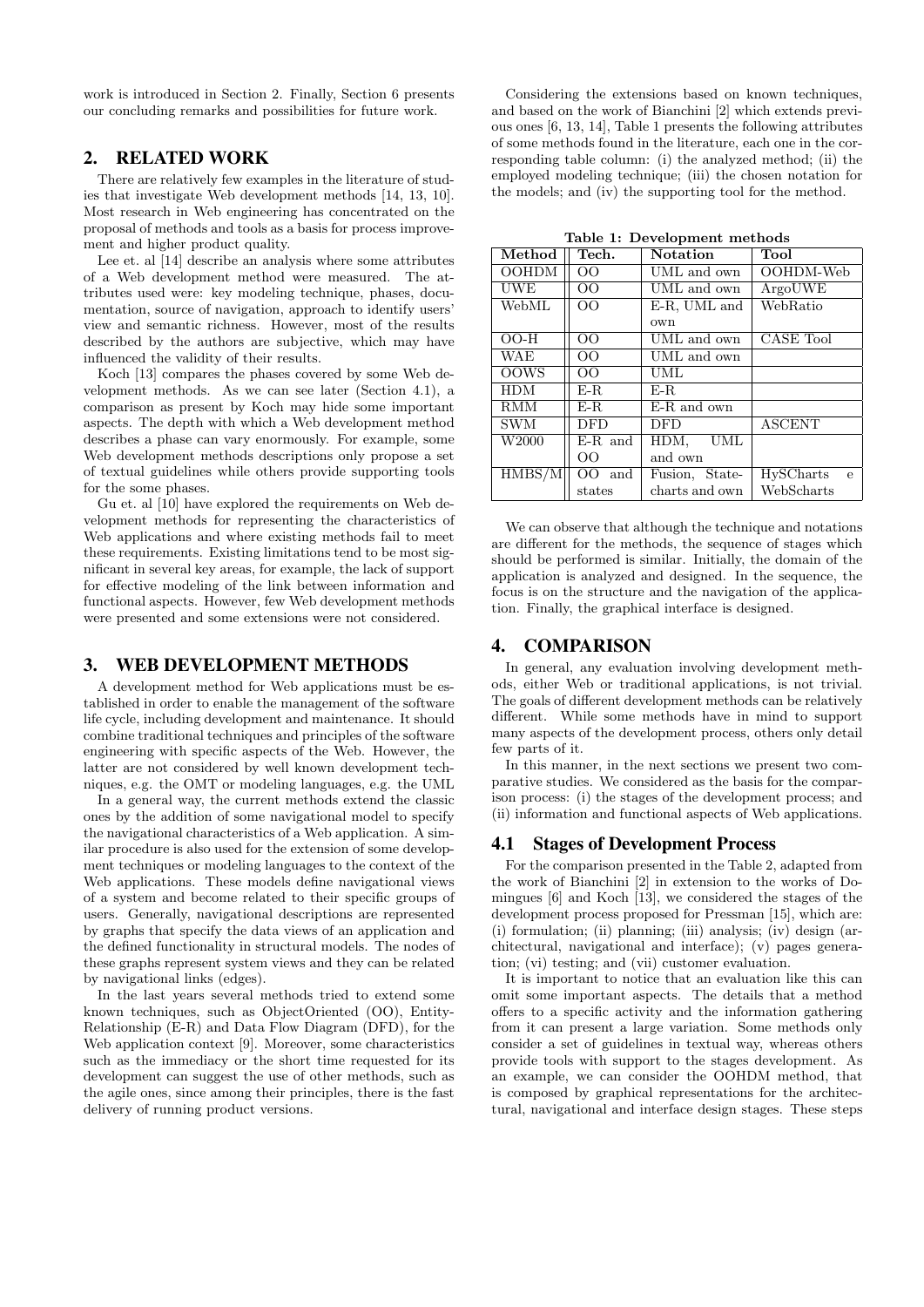work is introduced in Section 2. Finally, Section 6 presents our concluding remarks and possibilities for future work.

## 2. RELATED WORK

There are relatively few examples in the literature of studies that investigate Web development methods [14, 13, 10]. Most research in Web engineering has concentrated on the proposal of methods and tools as a basis for process improvement and higher product quality.

Lee et. al [14] describe an analysis where some attributes of a Web development method were measured. The attributes used were: key modeling technique, phases, documentation, source of navigation, approach to identify users' view and semantic richness. However, most of the results described by the authors are subjective, which may have influenced the validity of their results.

Koch [13] compares the phases covered by some Web development methods. As we can see later (Section 4.1), a comparison as present by Koch may hide some important aspects. The depth with which a Web development method describes a phase can vary enormously. For example, some Web development methods descriptions only propose a set of textual guidelines while others provide supporting tools for the some phases.

Gu et. al [10] have explored the requirements on Web development methods for representing the characteristics of Web applications and where existing methods fail to meet these requirements. Existing limitations tend to be most significant in several key areas, for example, the lack of support for effective modeling of the link between information and functional aspects. However, few Web development methods were presented and some extensions were not considered.

## 3. WEB DEVELOPMENT METHODS

A development method for Web applications must be established in order to enable the management of the software life cycle, including development and maintenance. It should combine traditional techniques and principles of the software engineering with specific aspects of the Web. However, the latter are not considered by well known development techniques, e.g. the OMT or modeling languages, e.g. the UML

In a general way, the current methods extend the classic ones by the addition of some navigational model to specify the navigational characteristics of a Web application. A similar procedure is also used for the extension of some development techniques or modeling languages to the context of the Web applications. These models define navigational views of a system and become related to their specific groups of users. Generally, navigational descriptions are represented by graphs that specify the data views of an application and the defined functionality in structural models. The nodes of these graphs represent system views and they can be related by navigational links (edges).

In the last years several methods tried to extend some known techniques, such as ObjectOriented (OO), Entity-Relationship (E-R) and Data Flow Diagram (DFD), for the Web application context [9]. Moreover, some characteristics such as the immediacy or the short time requested for its development can suggest the use of other methods, such as the agile ones, since among their principles, there is the fast delivery of running product versions.

Considering the extensions based on known techniques, and based on the work of Bianchini [2] which extends previous ones [6, 13, 14], Table 1 presents the following attributes of some methods found in the literature, each one in the corresponding table column: (i) the analyzed method; (ii) the employed modeling technique; (iii) the chosen notation for the models; and (iv) the supporting tool for the method.

Table 1: Development methods

| Method       | Tech.           | <b>Notation</b>    | $\mu$<br>Tool                    |  |  |  |
|--------------|-----------------|--------------------|----------------------------------|--|--|--|
| <b>OOHDM</b> | $\overline{O}O$ | UML and own        | OOHDM-Web                        |  |  |  |
| <b>UWE</b>   | 00              | UML and own        | ArgouWE                          |  |  |  |
| WebML        | $\overline{O}O$ | E-R, UML and       | WebRatio                         |  |  |  |
|              |                 | own                |                                  |  |  |  |
| $OO-H$       | $\overline{O}O$ | UML and own        | CASE Tool                        |  |  |  |
| <b>WAE</b>   | $\overline{O}O$ | UML and own        |                                  |  |  |  |
| <b>OOWS</b>  | $\overline{O}O$ | UML                |                                  |  |  |  |
| <b>HDM</b>   | $E-R$           | $E-R$              |                                  |  |  |  |
| <b>RMM</b>   | E-R.            | E-R and own        |                                  |  |  |  |
| <b>SWM</b>   | <b>DFD</b>      | <b>DED</b>         | <b>ASCENT</b>                    |  |  |  |
| W2000        | $E-R$ and       | <b>UML</b><br>HDM, |                                  |  |  |  |
|              | OΟ              | and own            |                                  |  |  |  |
| HMBS/M       | $OO$ and        | Fusion, State-     | <b>HySCharts</b><br>$\mathbf{e}$ |  |  |  |
|              | states          | charts and own     | WebScharts                       |  |  |  |

We can observe that although the technique and notations are different for the methods, the sequence of stages which should be performed is similar. Initially, the domain of the application is analyzed and designed. In the sequence, the focus is on the structure and the navigation of the application. Finally, the graphical interface is designed.

## 4. COMPARISON

In general, any evaluation involving development methods, either Web or traditional applications, is not trivial. The goals of different development methods can be relatively different. While some methods have in mind to support many aspects of the development process, others only detail few parts of it.

In this manner, in the next sections we present two comparative studies. We considered as the basis for the comparison process: (i) the stages of the development process; and (ii) information and functional aspects of Web applications.

#### 4.1 Stages of Development Process

For the comparison presented in the Table 2, adapted from the work of Bianchini [2] in extension to the works of Domingues [6] and Koch [13], we considered the stages of the development process proposed for Pressman [15], which are: (i) formulation; (ii) planning; (iii) analysis; (iv) design (architectural, navigational and interface); (v) pages generation; (vi) testing; and (vii) customer evaluation.

It is important to notice that an evaluation like this can omit some important aspects. The details that a method offers to a specific activity and the information gathering from it can present a large variation. Some methods only consider a set of guidelines in textual way, whereas others provide tools with support to the stages development. As an example, we can consider the OOHDM method, that is composed by graphical representations for the architectural, navigational and interface design stages. These steps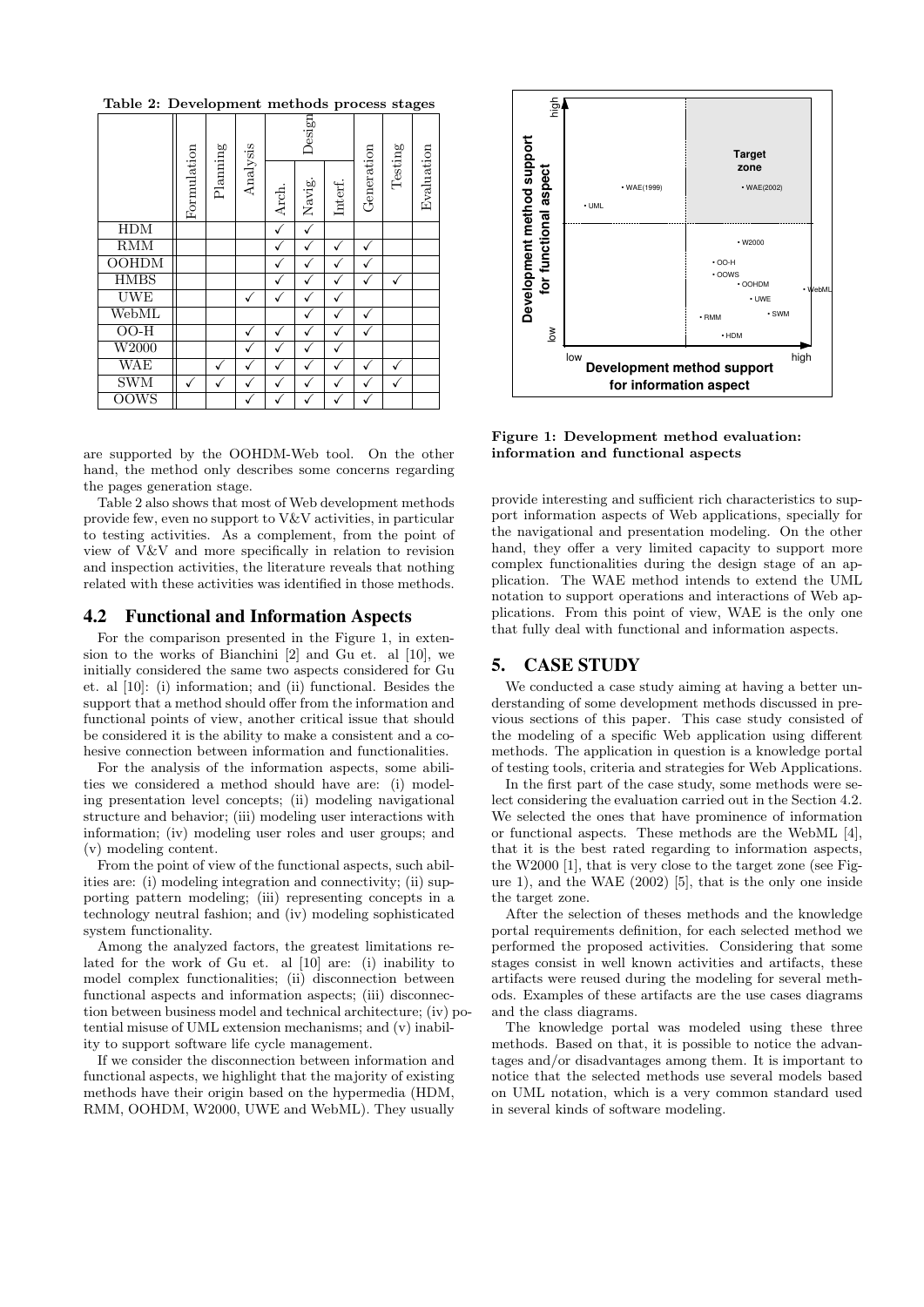Table 2: Development methods process stages

|                             | Formulation | Planning | Analysis | Design |        |         |            |         |            |
|-----------------------------|-------------|----------|----------|--------|--------|---------|------------|---------|------------|
|                             |             |          |          | Arch.  | Navig. | Interf. | Generation | Testing | Evaluation |
| <b>HDM</b>                  |             |          |          |        |        |         |            |         |            |
| RMM                         |             |          |          |        |        |         |            |         |            |
| <b>OOHDM</b>                |             |          |          |        |        |         |            |         |            |
| <b>HMBS</b>                 |             |          |          |        |        |         |            |         |            |
| <b>UWE</b>                  |             |          |          |        |        |         |            |         |            |
| WebML                       |             |          |          |        |        |         |            |         |            |
| $\overline{OO-H}$           |             |          |          |        |        |         |            |         |            |
| $\overline{\mathrm{W}2000}$ |             |          |          |        |        |         |            |         |            |
| WAE                         |             |          |          |        |        |         |            |         |            |
| <b>SWM</b>                  |             |          |          |        |        |         |            |         |            |
| <b>OOWS</b>                 |             |          |          |        |        |         |            |         |            |

are supported by the OOHDM-Web tool. On the other hand, the method only describes some concerns regarding the pages generation stage.

Table 2 also shows that most of Web development methods provide few, even no support to V&V activities, in particular to testing activities. As a complement, from the point of view of V&V and more specifically in relation to revision and inspection activities, the literature reveals that nothing related with these activities was identified in those methods.

#### 4.2 Functional and Information Aspects

For the comparison presented in the Figure 1, in extension to the works of Bianchini [2] and Gu et. al [10], we initially considered the same two aspects considered for Gu et. al [10]: (i) information; and (ii) functional. Besides the support that a method should offer from the information and functional points of view, another critical issue that should be considered it is the ability to make a consistent and a cohesive connection between information and functionalities.

For the analysis of the information aspects, some abilities we considered a method should have are: (i) modeling presentation level concepts; (ii) modeling navigational structure and behavior; (iii) modeling user interactions with information; (iv) modeling user roles and user groups; and (v) modeling content.

From the point of view of the functional aspects, such abilities are: (i) modeling integration and connectivity; (ii) supporting pattern modeling; (iii) representing concepts in a technology neutral fashion; and (iv) modeling sophisticated system functionality.

Among the analyzed factors, the greatest limitations related for the work of Gu et. al [10] are: (i) inability to model complex functionalities; (ii) disconnection between functional aspects and information aspects; (iii) disconnection between business model and technical architecture; (iv) potential misuse of UML extension mechanisms; and (v) inability to support software life cycle management.

If we consider the disconnection between information and functional aspects, we highlight that the majority of existing methods have their origin based on the hypermedia (HDM, RMM, OOHDM, W2000, UWE and WebML). They usually



Figure 1: Development method evaluation: information and functional aspects

provide interesting and sufficient rich characteristics to support information aspects of Web applications, specially for the navigational and presentation modeling. On the other hand, they offer a very limited capacity to support more complex functionalities during the design stage of an application. The WAE method intends to extend the UML notation to support operations and interactions of Web applications. From this point of view, WAE is the only one that fully deal with functional and information aspects.

#### 5. CASE STUDY

We conducted a case study aiming at having a better understanding of some development methods discussed in previous sections of this paper. This case study consisted of the modeling of a specific Web application using different methods. The application in question is a knowledge portal of testing tools, criteria and strategies for Web Applications.

In the first part of the case study, some methods were select considering the evaluation carried out in the Section 4.2. We selected the ones that have prominence of information or functional aspects. These methods are the WebML [4], that it is the best rated regarding to information aspects, the W2000 [1], that is very close to the target zone (see Figure 1), and the WAE (2002) [5], that is the only one inside the target zone.

After the selection of theses methods and the knowledge portal requirements definition, for each selected method we performed the proposed activities. Considering that some stages consist in well known activities and artifacts, these artifacts were reused during the modeling for several methods. Examples of these artifacts are the use cases diagrams and the class diagrams.

The knowledge portal was modeled using these three methods. Based on that, it is possible to notice the advantages and/or disadvantages among them. It is important to notice that the selected methods use several models based on UML notation, which is a very common standard used in several kinds of software modeling.